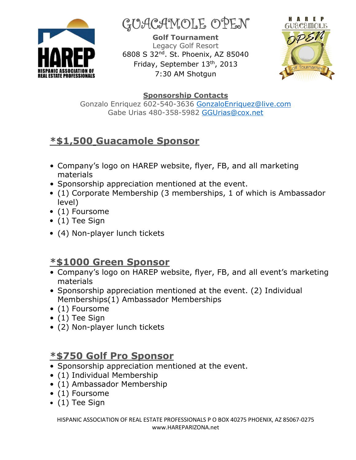

GUACAMOLE OPEN

**Golf Tournament**  Legacy Golf Resort 6808 S 32nd. St. Phoenix, AZ 85040 Friday, September 13<sup>th</sup>, 2013 7:30 AM Shotgun



#### **Sponsorship Contacts**

Gonzalo Enriquez 602-540-3636 GonzaloEnriquez@live.com Gabe Urias 480-358-5982 GGUrias@cox.net

# **\*\$1,500 Guacamole Sponsor**

- Company's logo on HAREP website, flyer, FB, and all marketing materials
- Sponsorship appreciation mentioned at the event.
- (1) Corporate Membership (3 memberships, 1 of which is Ambassador level)
- (1) Foursome
- (1) Tee Sign
- (4) Non-player lunch tickets

## **\*\$1000 Green Sponsor**

- Company's logo on HAREP website, flyer, FB, and all event's marketing materials
- Sponsorship appreciation mentioned at the event. (2) Individual Memberships(1) Ambassador Memberships
- (1) Foursome
- (1) Tee Sign
- (2) Non-player lunch tickets

#### **\*\$750 Golf Pro Sponsor**

- Sponsorship appreciation mentioned at the event.
- (1) Individual Membership
- (1) Ambassador Membership
- (1) Foursome
- (1) Tee Sign